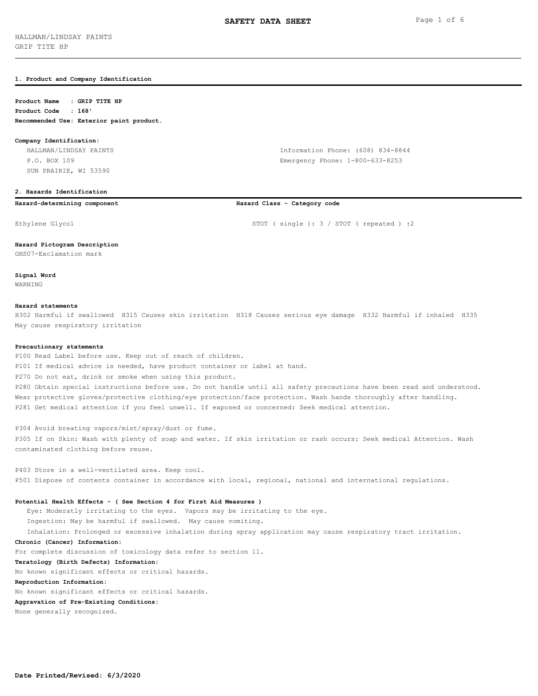## **1. Product and Company Identification**

## **Product Name : GRIP TITE HP Product Code : 168'**

**Recommended Use: Exterior paint product.**

## **Company Identification:**

 HALLMAN/LINDSAY PAINTS Information Phone: (608) 834-8844 P.O. BOX 109 Emergency Phone: 1-800-633-8253 SUN PRAIRIE, WI 53590

## **2. Hazards Identification**

## **Hazard-determining component Hazard Class - Category code**

# Ethylene Glycol STOT ( single ): 3 / STOT ( repeated ) : 2

**Hazard Pictogram Description**

GHS07-Exclamation mark

**Signal Word** WARNING

## **Hazard statements**

H302 Harmful if swallowed H315 Causes skin irritation H318 Causes serious eye damage H332 Harmful if inhaled H335 May cause respiratory irritation

## **Precautionary statements**

P100 Read Label before use. Keep out of reach of children. P101 If medical advice is needed, have product container or label at hand. P270 Do not eat, drink or smoke when using this product. P280 Obtain special instructions before use. Do not handle until all safety precautions have been read and understood. Wear protective gloves/protective clothing/eye protection/face protection. Wash hands thoroughly after handling. P281 Get medical attention if you feel unwell. If exposed or concerned: Seek medical attention.

P304 Avoid breating vapors/mist/spray/dust or fume. P305 If on Skin: Wash with plenty of soap and water. If skin irritation or rash occurs: Seek medical Attention. Wash contaminated clothing before reuse.

P403 Store in a well-ventilated area. Keep cool. P501 Dispose of contents container in accordance with local, regional, national and international regulations.

## **Potential Health Effects - ( See Section 4 for First Aid Measures )**

 Eye: Moderatly irritating to the eyes. Vapors may be irritating to the eye. Ingestion: May be harmful if swallowed. May cause vomiting. Inhalation: Prolonged or excessive inhalation during spray application may cause respiratory tract irritation.

## **Chronic (Cancer) Information:**

For complete discussion of toxicology data refer to section 11.

## **Teratology (Birth Defects) Information:**

No known significant effects or critical hazards.

## **Reproduction Information:**

No known significant effects or critical hazards.

## **Aggravation of Pre-Existing Conditions:**

None generally recognized.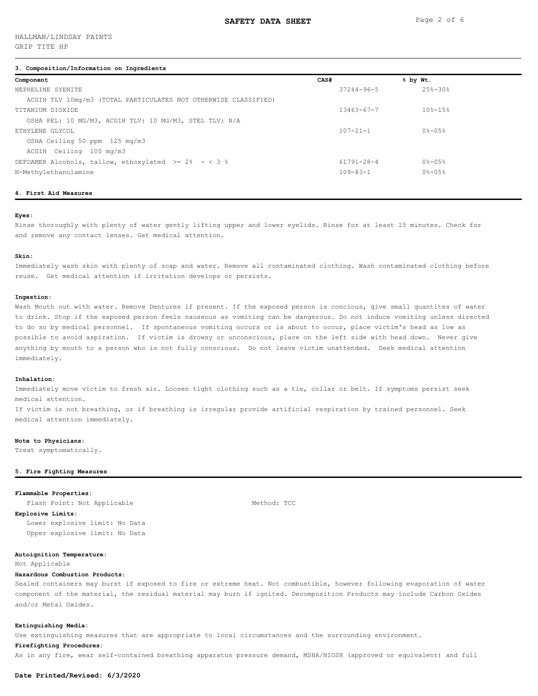## **3. Composition/Information on Ingredients**

| Component                                                       | CAS# |                  | % by Wt.    |
|-----------------------------------------------------------------|------|------------------|-------------|
| NEPHELINE SYENITE                                               |      | 37244-96-5       | $25% - 30%$ |
| ACGIH TLV 10mg/m3 (TOTAL PARTICULATES NOT OTHERWISE CLASSIFIED) |      |                  |             |
| TITANIUM DIOXIDE                                                |      | $13463 - 67 - 7$ | $108 - 158$ |
| OSHA PEL: 10 MG/M3, ACGIH TLV: 10 MG/M3, STEL TLV: N/A          |      |                  |             |
| ETHYLENE GLYCOL                                                 |      | $107 - 21 - 1$   | $0* - 0.5*$ |
| OSHA Ceiling 50 ppm 125 mg/m3                                   |      |                  |             |
| ACGIH Ceiling 100 mg/m3                                         |      |                  |             |
| DEFOAMER Alcohols, tallow, ethoxylated >= $2\% - < 3\%$         |      | 61791-28-4       | $0 - 05$    |
| N-Methylethanolamine                                            |      | $109 - 83 - 1$   | $0 - 05$    |
|                                                                 |      |                  |             |

## **4. First Aid Measures**

## **Eyes:**

Rinse thoroughly with plenty of water gently lifting upper and lower eyelids. Rinse for at least 15 minutes. Check for and remove any contact lenses. Get medical attention.

#### **Skin:**

Immediately wash skin with plenty of soap and water. Remove all contaminated clothing. Wash contaminated clothing before reuse. Get medical attention if irritation develops or persists.

#### **Ingestion:**

Wash Mouth out with water. Remove Dentures if present. If the exposed person is concious, give small quantites of water to drink. Stop if the exposed person feels nauseous as vomiting can be dangerous. Do not induce vomiting unless directed to do so by medical personnel. If spontaneous vomiting occurs or is about to occur, place victim's head as low as possible to avoid aspiration. If victim is drowsy or unconscious, place on the left side with head down. Never give anything by mouth to a person who is not fully conscious. Do not leave victim unattended. Seek medical attention immediately.

## **Inhalation:**

Immediately move victim to fresh air. Loosen tight clothing such as a tie, collar or belt. If symptoms persist seek medical attention.

If victim is not breathing, or if breathing is irregular provide artificial respiration by trained personnel. Seek medical attention immediately.

## **Note to Physicians:**

Treat symptomatically.

#### **5. Fire Fighting Measures**

## **Flammable Properties:**

Flash Point: Not Applicable Method: TCC

**Explosive Limits:** Lower explosive limit: No Data Upper explosive limit: No Data

## **Autoignition Temperature:**

Not Applicable

## **Hazardous Combustion Products:**

Sealed containers may burst if exposed to fire or extreme heat. Not combustible, however following evaporation of water component of the material, the residual material may burn if ignited. Decomposition Products may include Carbon Oxides and/or Metal Oxides.

#### **Extinguishing Media:**

Use extinguishing measures that are appropriate to local circumstances and the surrounding environment.

## **Firefighting Procedures:**

As in any fire, wear self-contained breathing apparatus pressure demand, MSHA/NIOSH (approved or equivalent) and full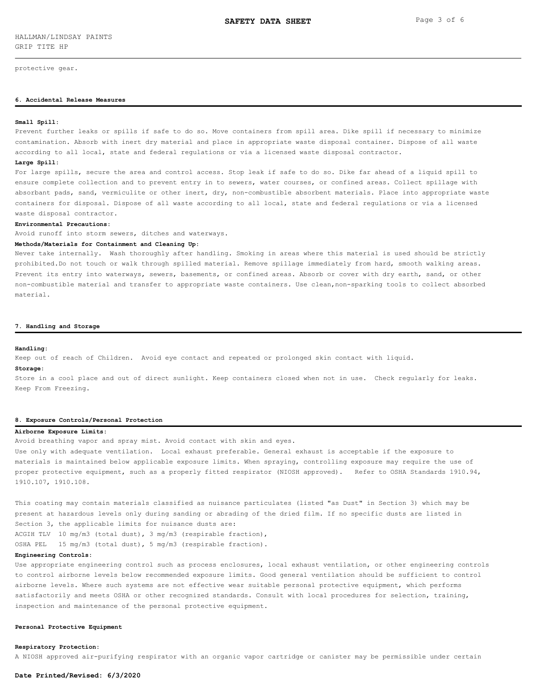protective gear.

## **6. Accidental Release Measures**

#### **Small Spill:**

Prevent further leaks or spills if safe to do so. Move containers from spill area. Dike spill if necessary to minimize contamination. Absorb with inert dry material and place in appropriate waste disposal container. Dispose of all waste according to all local, state and federal regulations or via a licensed waste disposal contractor.

## **Large Spill:**

For large spills, secure the area and control access. Stop leak if safe to do so. Dike far ahead of a liquid spill to ensure complete collection and to prevent entry in to sewers, water courses, or confined areas. Collect spillage with absorbant pads, sand, vermiculite or other inert, dry, non-combustible absorbent materials. Place into appropriate waste containers for disposal. Dispose of all waste according to all local, state and federal regulations or via a licensed waste disposal contractor.

#### **Environmental Precautions:**

Avoid runoff into storm sewers, ditches and waterways.

## **Methods/Materials for Containment and Cleaning Up:**

Never take internally. Wash thoroughly after handling. Smoking in areas where this material is used should be strictly prohibited.Do not touch or walk through spilled material. Remove spillage immediately from hard, smooth walking areas. Prevent its entry into waterways, sewers, basements, or confined areas. Absorb or cover with dry earth, sand, or other non-combustible material and transfer to appropriate waste containers. Use clean,non-sparking tools to collect absorbed material.

#### **7. Handling and Storage**

#### **Handling:**

Keep out of reach of Children. Avoid eye contact and repeated or prolonged skin contact with liquid.

# **Storage:**

Store in a cool place and out of direct sunlight. Keep containers closed when not in use. Check regularly for leaks. Keep From Freezing.

## **8. Exposure Controls/Personal Protection**

## **Airborne Exposure Limits:**

Avoid breathing vapor and spray mist. Avoid contact with skin and eyes.

Use only with adequate ventilation. Local exhaust preferable. General exhaust is acceptable if the exposure to materials is maintained below applicable exposure limits. When spraying, controlling exposure may require the use of proper protective equipment, such as a properly fitted respirator (NIOSH approved). Refer to OSHA Standards 1910.94, 1910.107, 1910.108.

This coating may contain materials classified as nuisance particulates (listed "as Dust" in Section 3) which may be present at hazardous levels only during sanding or abrading of the dried film. If no specific dusts are listed in Section 3, the applicable limits for nuisance dusts are: ACGIH TLV 10 mg/m3 (total dust), 3 mg/m3 (respirable fraction),

OSHA PEL 15 mg/m3 (total dust), 5 mg/m3 (respirable fraction).

# **Engineering Controls:**

Use appropriate engineering control such as process enclosures, local exhaust ventilation, or other engineering controls to control airborne levels below recommended exposure limits. Good general ventilation should be sufficient to control airborne levels. Where such systems are not effective wear suitable personal protective equipment, which performs satisfactorily and meets OSHA or other recognized standards. Consult with local procedures for selection, training, inspection and maintenance of the personal protective equipment.

## **Personal Protective Equipment**

## **Respiratory Protection:**

A NIOSH approved air-purifying respirator with an organic vapor cartridge or canister may be permissible under certain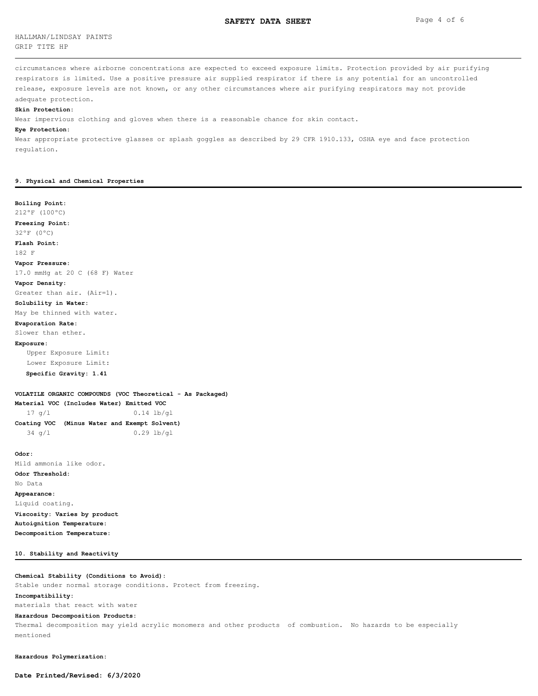HALLMAN/LINDSAY PAINTS GRIP TITE HP

circumstances where airborne concentrations are expected to exceed exposure limits. Protection provided by air purifying respirators is limited. Use a positive pressure air supplied respirator if there is any potential for an uncontrolled release, exposure levels are not known, or any other circumstances where air purifying respirators may not provide adequate protection.

#### **Skin Protection:**

Wear impervious clothing and gloves when there is a reasonable chance for skin contact.

## **Eye Protection:**

Wear appropriate protective glasses or splash goggles as described by 29 CFR 1910.133, OSHA eye and face protection regulation.

## **9. Physical and Chemical Properties**

## **Boiling Point:**

212ºF (100ºC)

**Freezing Point:**

32ºF (0ºC)

**Flash Point:**

182 F

**Vapor Pressure:**

17.0 mmHg at 20 C (68 F) Water

#### **Vapor Density:**

Greater than air. (Air=1).

## **Solubility in Water:**

May be thinned with water.

## **Evaporation Rate:**

Slower than ether.

## **Exposure:**

 Upper Exposure Limit: Lower Exposure Limit:

# **Specific Gravity: 1.41**

**VOLATILE ORGANIC COMPOUNDS (VOC Theoretical - As Packaged)**

**Material VOC (Includes Water) Emitted VOC** 17 g/l 0.14 lb/gl

| Coating VOC (Minus Water and Exempt Solvent) |  |  |              |
|----------------------------------------------|--|--|--------------|
| $34 \sigma/L$                                |  |  | $0.29$ lb/ql |

**Odor:** Mild ammonia like odor. **Odor Threshold:** No Data **Appearance:** Liquid coating. **Viscosity: Varies by product Autoignition Temperature: Decomposition Temperature:**

#### **10. Stability and Reactivity**

## **Chemical Stability (Conditions to Avoid):**

Stable under normal storage conditions. Protect from freezing.

## **Incompatibility:**

materials that react with water

## **Hazardous Decomposition Products:**

Thermal decomposition may yield acrylic monomers and other products of combustion. No hazards to be especially mentioned

**Hazardous Polymerization:**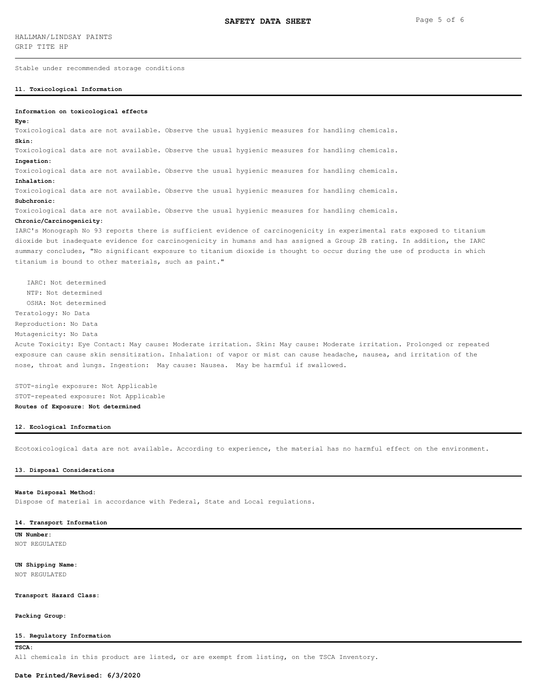Stable under recommended storage conditions

#### **11. Toxicological Information**

## **Information on toxicological effects**

#### **Eye:**

Toxicological data are not available. Observe the usual hygienic measures for handling chemicals.

## **Skin:**

Toxicological data are not available. Observe the usual hygienic measures for handling chemicals.

#### **Ingestion:**

Toxicological data are not available. Observe the usual hygienic measures for handling chemicals.

#### **Inhalation:**

Toxicological data are not available. Observe the usual hygienic measures for handling chemicals.

## **Subchronic:**

Toxicological data are not available. Observe the usual hygienic measures for handling chemicals.

## **Chronic/Carcinogenicity:**

IARC's Monograph No 93 reports there is sufficient evidence of carcinogenicity in experimental rats exposed to titanium dioxide but inadequate evidence for carcinogenicity in humans and has assigned a Group 2B rating. In addition, the IARC summary concludes, "No significant exposure to titanium dioxide is thought to occur during the use of products in which titanium is bound to other materials, such as paint."

 IARC: Not determined NTP: Not determined OSHA: Not determined Teratology: No Data Reproduction: No Data

Mutagenicity: No Data

Acute Toxicity: Eye Contact: May cause: Moderate irritation. Skin: May cause: Moderate irritation. Prolonged or repeated exposure can cause skin sensitization. Inhalation: of vapor or mist can cause headache, nausea, and irritation of the nose, throat and lungs. Ingestion: May cause: Nausea. May be harmful if swallowed.

STOT-single exposure: Not Applicable STOT-repeated exposure: Not Applicable **Routes of Exposure: Not determined**

## **12. Ecological Information**

Ecotoxicological data are not available. According to experience, the material has no harmful effect on the environment.

#### **13. Disposal Considerations**

#### **Waste Disposal Method:**

Dispose of material in accordance with Federal, State and Local regulations.

#### **14. Transport Information**

**UN Number:** NOT REGULATED

# **UN Shipping Name:**

NOT REGULATED

## **Transport Hazard Class:**

**Packing Group:**

## **15. Regulatory Information**

**TSCA:**

All chemicals in this product are listed, or are exempt from listing, on the TSCA Inventory.